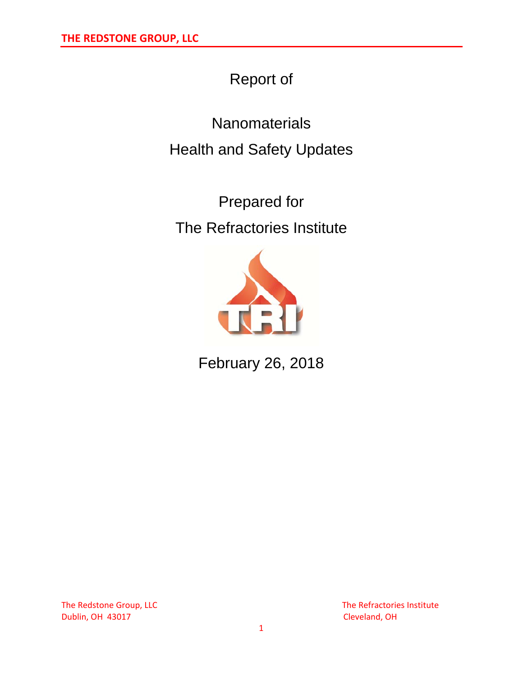# Report of

**Nanomaterials** Health and Safety Updates

Prepared for The Refractories Institute



February 26, 2018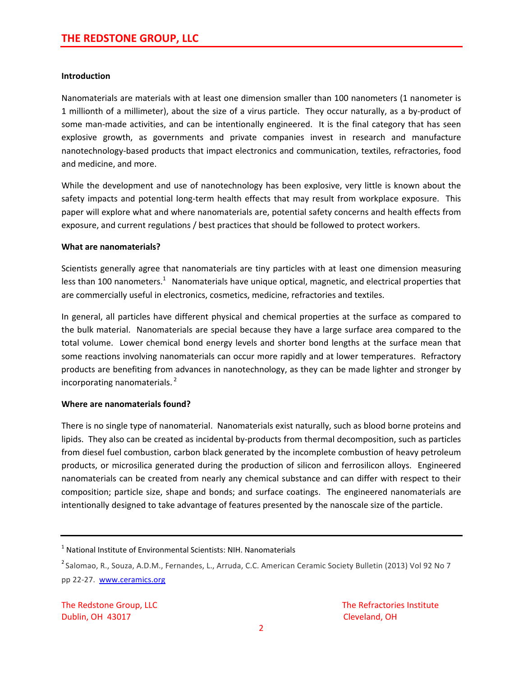# **Introduction**

Nanomaterials are materials with at least one dimension smaller than 100 nanometers (1 nanometer is 1 millionth of a millimeter), about the size of a virus particle. They occur naturally, as a by‐product of some man-made activities, and can be intentionally engineered. It is the final category that has seen explosive growth, as governments and private companies invest in research and manufacture nanotechnology‐based products that impact electronics and communication, textiles, refractories, food and medicine, and more.

While the development and use of nanotechnology has been explosive, very little is known about the safety impacts and potential long-term health effects that may result from workplace exposure. This paper will explore what and where nanomaterials are, potential safety concerns and health effects from exposure, and current regulations / best practices that should be followed to protect workers.

### **What are nanomaterials?**

Scientists generally agree that nanomaterials are tiny particles with at least one dimension measuring less than 100 nanometers.<sup>1</sup> Nanomaterials have unique optical, magnetic, and electrical properties that are commercially useful in electronics, cosmetics, medicine, refractories and textiles.

In general, all particles have different physical and chemical properties at the surface as compared to the bulk material. Nanomaterials are special because they have a large surface area compared to the total volume. Lower chemical bond energy levels and shorter bond lengths at the surface mean that some reactions involving nanomaterials can occur more rapidly and at lower temperatures. Refractory products are benefiting from advances in nanotechnology, as they can be made lighter and stronger by incorporating nanomaterials. $<sup>2</sup>$ </sup>

# **Where are nanomaterials found?**

There is no single type of nanomaterial. Nanomaterials exist naturally, such as blood borne proteins and lipids. They also can be created as incidental by‐products from thermal decomposition, such as particles from diesel fuel combustion, carbon black generated by the incomplete combustion of heavy petroleum products, or microsilica generated during the production of silicon and ferrosilicon alloys. Engineered nanomaterials can be created from nearly any chemical substance and can differ with respect to their composition; particle size, shape and bonds; and surface coatings. The engineered nanomaterials are intentionally designed to take advantage of features presented by the nanoscale size of the particle.

 $1$  National Institute of Environmental Scientists: NIH. Nanomaterials

<sup>&</sup>lt;sup>2</sup> Salomao, R., Souza, A.D.M., Fernandes, L., Arruda, C.C. American Ceramic Society Bulletin (2013) Vol 92 No 7 pp 22-27. [www.ceramics.org](http://www.ceramics.org/)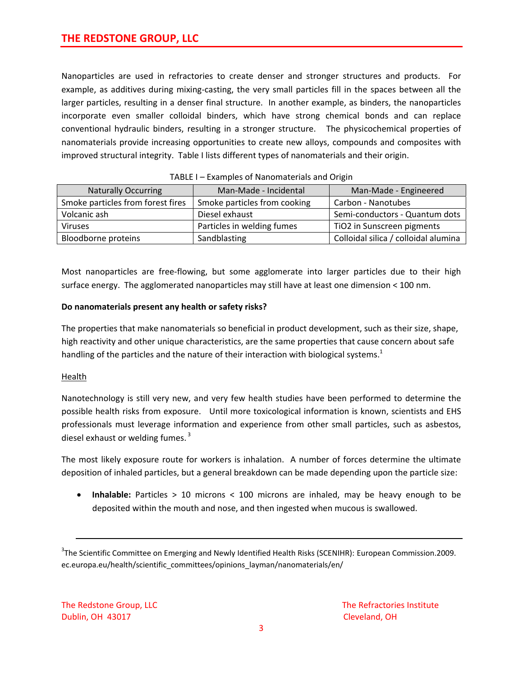Nanoparticles are used in refractories to create denser and stronger structures and products. For example, as additives during mixing‐casting, the very small particles fill in the spaces between all the larger particles, resulting in a denser final structure. In another example, as binders, the nanoparticles incorporate even smaller colloidal binders, which have strong chemical bonds and can replace conventional hydraulic binders, resulting in a stronger structure. The physicochemical properties of nanomaterials provide increasing opportunities to create new alloys, compounds and composites with improved structural integrity. Table I lists different types of nanomaterials and their origin.

| <b>Naturally Occurring</b>        | Man-Made - Incidental        | Man-Made - Engineered                |
|-----------------------------------|------------------------------|--------------------------------------|
| Smoke particles from forest fires | Smoke particles from cooking | Carbon - Nanotubes                   |
| Volcanic ash                      | Diesel exhaust               | Semi-conductors - Quantum dots       |
| <b>Viruses</b>                    | Particles in welding fumes   | TiO2 in Sunscreen pigments           |
| Bloodborne proteins               | Sandblasting                 | Colloidal silica / colloidal alumina |

#### TABLE I – Examples of Nanomaterials and Origin

Most nanoparticles are free‐flowing, but some agglomerate into larger particles due to their high surface energy. The agglomerated nanoparticles may still have at least one dimension < 100 nm.

# **Do nanomaterials present any health or safety risks?**

The properties that make nanomaterials so beneficial in product development, such as their size, shape, high reactivity and other unique characteristics, are the same properties that cause concern about safe handling of the particles and the nature of their interaction with biological systems. $1$ 

# **Health**

Nanotechnology is still very new, and very few health studies have been performed to determine the possible health risks from exposure. Until more toxicological information is known, scientists and EHS professionals must leverage information and experience from other small particles, such as asbestos, diesel exhaust or welding fumes.  $3$ 

The most likely exposure route for workers is inhalation. A number of forces determine the ultimate deposition of inhaled particles, but a general breakdown can be made depending upon the particle size:

• **Inhalable:** Particles > 10 microns < 100 microns are inhaled, may be heavy enough to be deposited within the mouth and nose, and then ingested when mucous is swallowed.

<sup>3</sup>The Scientific Committee on Emerging and Newly Identified Health Risks (SCENIHR): European Commission.2009. ec.europa.eu/health/scientific\_committees/opinions\_layman/nanomaterials/en/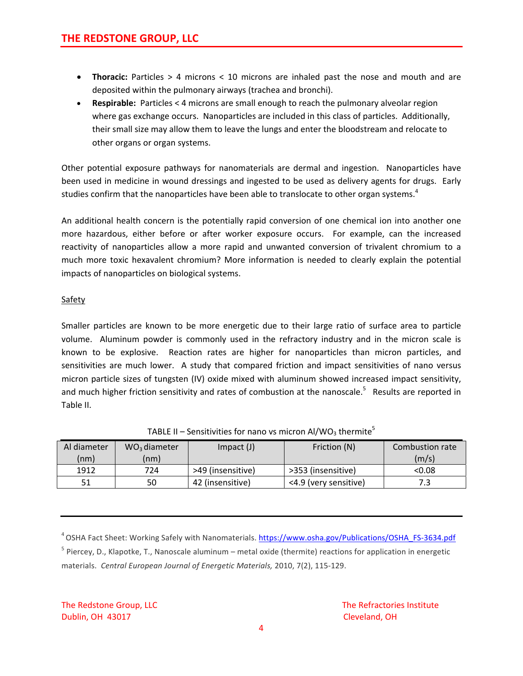- **Thoracic:** Particles > 4 microns < 10 microns are inhaled past the nose and mouth and are deposited within the pulmonary airways (trachea and bronchi).
- **Respirable:** Particles < 4 microns are small enough to reach the pulmonary alveolar region where gas exchange occurs. Nanoparticles are included in this class of particles. Additionally, their small size may allow them to leave the lungs and enter the bloodstream and relocate to other organs or organ systems.

Other potential exposure pathways for nanomaterials are dermal and ingestion. Nanoparticles have been used in medicine in wound dressings and ingested to be used as delivery agents for drugs. Early studies confirm that the nanoparticles have been able to translocate to other organ systems.<sup>4</sup>

An additional health concern is the potentially rapid conversion of one chemical ion into another one more hazardous, either before or after worker exposure occurs. For example, can the increased reactivity of nanoparticles allow a more rapid and unwanted conversion of trivalent chromium to a much more toxic hexavalent chromium? More information is needed to clearly explain the potential impacts of nanoparticles on biological systems.

# **Safety**

Smaller particles are known to be more energetic due to their large ratio of surface area to particle volume. Aluminum powder is commonly used in the refractory industry and in the micron scale is known to be explosive. Reaction rates are higher for nanoparticles than micron particles, and sensitivities are much lower. A study that compared friction and impact sensitivities of nano versus micron particle sizes of tungsten (IV) oxide mixed with aluminum showed increased impact sensitivity, and much higher friction sensitivity and rates of combustion at the nanoscale.<sup>5</sup> Results are reported in Table II.

| Al diameter | WO <sub>3</sub> diameter | $Im$ pact $(J)$   | Friction (N)          | Combustion rate |
|-------------|--------------------------|-------------------|-----------------------|-----------------|
| (nm)        | (nm)                     |                   |                       | (m/s)           |
| 1912        | 724                      | >49 (insensitive) | >353 (insensitive)    | < 0.08          |
| 51          | 50                       | 42 (insensitive)  | <4.9 (very sensitive) |                 |

# TABLE II – Sensitivities for nano vs micron Al/WO<sub>3</sub> thermite<sup>5</sup>

<sup>4</sup> OSHA Fact Sheet: Working Safely with Nanomaterials. [https://www.osha.gov/Publications/OSHA\\_FS](https://www.osha.gov/Publications/OSHA_FS-3634.pdf)-3634.pdf  $<sup>5</sup>$  Piercey, D., Klapotke, T., Nanoscale aluminum – metal oxide (thermite) reactions for application in energetic</sup> materials. *Central European Journal of Energetic Materials,* 2010, 7(2), 115‐129.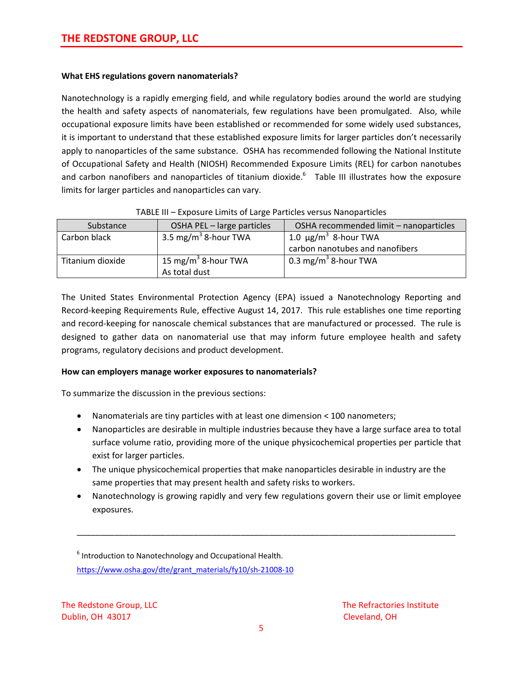# **What EHS regulations govern nanomaterials?**

Nanotechnology is a rapidly emerging field, and while regulatory bodies around the world are studying the health and safety aspects of nanomaterials, few regulations have been promulgated. Also, while occupational exposure limits have been established or recommended for some widely used substances, it is important to understand that these established exposure limits for larger particles don't necessarily apply to nanoparticles of the same substance. OSHA has recommended following the National Institute of Occupational Safety and Health (NIOSH) Recommended Exposure Limits (REL) for carbon nanotubes and carbon nanofibers and nanoparticles of titanium dioxide.<sup>6</sup> Table III illustrates how the exposure limits for larger particles and nanoparticles can vary.

| Substance        | OSHA PEL - large particles       | OSHA recommended limit - nanoparticles |
|------------------|----------------------------------|----------------------------------------|
| Carbon black     | 3.5 mg/m <sup>3</sup> 8-hour TWA | 1.0 $\mu$ g/m <sup>3</sup> 8-hour TWA  |
|                  |                                  | carbon nanotubes and nanofibers        |
| Titanium dioxide | 15 mg/m <sup>3</sup> 8-hour TWA  | 0.3 mg/m <sup>3</sup> 8-hour TWA       |
|                  | As total dust                    |                                        |

|  | TABLE III - Exposure Limits of Large Particles versus Nanoparticles |  |
|--|---------------------------------------------------------------------|--|
|  |                                                                     |  |

The United States Environmental Protection Agency (EPA) issued a Nanotechnology Reporting and Record-keeping Requirements Rule, effective August 14, 2017. This rule establishes one time reporting and record-keeping for nanoscale chemical substances that are manufactured or processed. The rule is designed to gather data on nanomaterial use that may inform future employee health and safety programs, regulatory decisions and product development.

# **How can employers manage worker exposures to nanomaterials?**

To summarize the discussion in the previous sections:

- Nanomaterials are tiny particles with at least one dimension < 100 nanometers;
- Nanoparticles are desirable in multiple industries because they have a large surface area to total surface volume ratio, providing more of the unique physicochemical properties per particle that exist for larger particles.
- The unique physicochemical properties that make nanoparticles desirable in industry are the same properties that may present health and safety risks to workers.
- Nanotechnology is growing rapidly and very few regulations govern their use or limit employee exposures.

\_\_\_\_\_\_\_\_\_\_\_\_\_\_\_\_\_\_\_\_\_\_\_\_\_\_\_\_\_\_\_\_\_\_\_\_\_\_\_\_\_\_\_\_\_\_\_\_\_\_\_\_\_\_\_\_\_\_\_\_\_\_\_\_\_\_\_\_\_\_\_\_\_\_\_\_\_\_\_\_\_

<sup>6</sup> Introduction to Nanotechnology and Occupational Health. [https://www.osha.gov/dte/grant\\_materials/fy10/sh](https://www.osha.gov/dte/grant_materials/fy10/sh-21008-10)-21008-10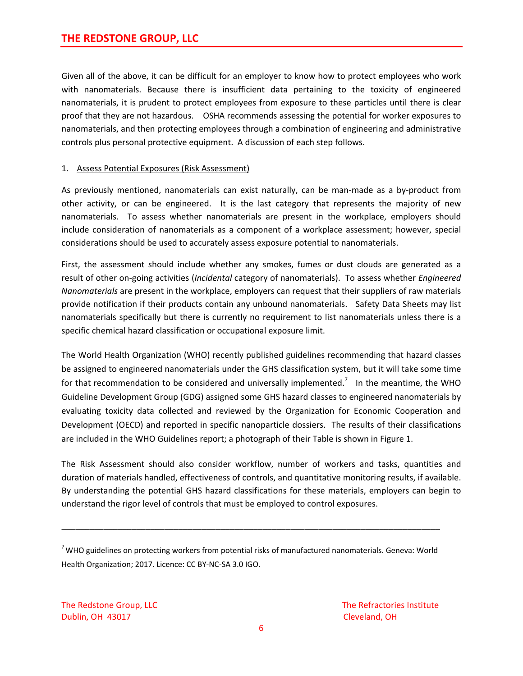Given all of the above, it can be difficult for an employer to know how to protect employees who work with nanomaterials. Because there is insufficient data pertaining to the toxicity of engineered nanomaterials, it is prudent to protect employees from exposure to these particles until there is clear proof that they are not hazardous. OSHA recommends assessing the potential for worker exposures to nanomaterials, and then protecting employees through a combination of engineering and administrative controls plus personal protective equipment. A discussion of each step follows.

# 1. Assess Potential Exposures (Risk Assessment)

As previously mentioned, nanomaterials can exist naturally, can be man-made as a by-product from other activity, or can be engineered. It is the last category that represents the majority of new nanomaterials. To assess whether nanomaterials are present in the workplace, employers should include consideration of nanomaterials as a component of a workplace assessment; however, special considerations should be used to accurately assess exposure potential to nanomaterials.

First, the assessment should include whether any smokes, fumes or dust clouds are generated as a result of other on‐going activities (*Incidental* category of nanomaterials). To assess whether *Engineered Nanomaterials* are present in the workplace, employers can request that their suppliers of raw materials provide notification if their products contain any unbound nanomaterials. Safety Data Sheets may list nanomaterials specifically but there is currently no requirement to list nanomaterials unless there is a specific chemical hazard classification or occupational exposure limit.

The World Health Organization (WHO) recently published guidelines recommending that hazard classes be assigned to engineered nanomaterials under the GHS classification system, but it will take some time for that recommendation to be considered and universally implemented.<sup>7</sup> In the meantime, the WHO Guideline Development Group (GDG) assigned some GHS hazard classes to engineered nanomaterials by evaluating toxicity data collected and reviewed by the Organization for Economic Cooperation and Development (OECD) and reported in specific nanoparticle dossiers. The results of their classifications are included in the WHO Guidelines report; a photograph of their Table is shown in Figure 1.

The Risk Assessment should also consider workflow, number of workers and tasks, quantities and duration of materials handled, effectiveness of controls, and quantitative monitoring results, if available. By understanding the potential GHS hazard classifications for these materials, employers can begin to understand the rigor level of controls that must be employed to control exposures.

\_\_\_\_\_\_\_\_\_\_\_\_\_\_\_\_\_\_\_\_\_\_\_\_\_\_\_\_\_\_\_\_\_\_\_\_\_\_\_\_\_\_\_\_\_\_\_\_\_\_\_\_\_\_\_\_\_\_\_\_\_\_\_\_\_\_\_\_\_\_\_\_\_\_\_\_\_\_\_\_\_

 $^7$ WHO guidelines on protecting workers from potential risks of manufactured nanomaterials. Geneva: World Health Organization; 2017. Licence: CC BY‐NC‐SA 3.0 IGO.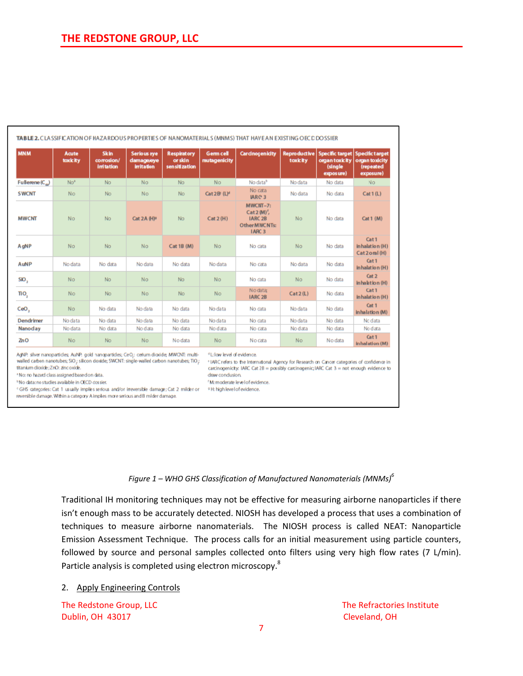| <b>MNM</b>               | Acute<br>toxic ity | <b>Skin</b><br>corrosion/<br><b>initation</b> | Serious eye<br>damage/eye<br><b>irritation</b> | <b>Respiratory</b><br>or skin<br>sen siti zation | <b>Germ cell</b><br>mutagenicity | <b>Cardnocenicity</b>                                                                | <b>Reproductive</b><br>toxicity | Specific target Specific target<br>organ toxicity<br>(single<br>exposure) | organ toxicity<br>(repeated<br>exposure) |
|--------------------------|--------------------|-----------------------------------------------|------------------------------------------------|--------------------------------------------------|----------------------------------|--------------------------------------------------------------------------------------|---------------------------------|---------------------------------------------------------------------------|------------------------------------------|
| Fullerene $(C_{\omega})$ | No <sup>+</sup>    | No.                                           | No                                             | No                                               | <b>No</b>                        | No data <sup>b</sup>                                                                 | No data                         | No data                                                                   | No.                                      |
| <b>SWCNT</b>             | No.                | No.                                           | No                                             | No.                                              | Cat 2B (L) <sup>d</sup>          | No cata<br>IARC <sub>3</sub>                                                         | No data                         | No data                                                                   | Cat1(L)                                  |
| <b>MWCNT</b>             | <b>No</b>          | No                                            | Cat 2A (H) <sup>2</sup>                        | No                                               | Cat 2(H)                         | MWCNT-7:<br>$Cat2(M)^t$<br>IARC <sub>2B</sub><br>Other MWC NTs:<br>IARC <sub>3</sub> | <b>No</b>                       | No data                                                                   | Cat $1(M)$                               |
| AgNP                     | <b>No</b>          | No.                                           | No                                             | Cat 1B (M)                                       | No                               | No cata                                                                              | <b>No</b>                       | No data                                                                   | Cat 1<br>inhalation (H)<br>Cat2oral (H)  |
| AuNP                     | No data            | No data                                       | No data                                        | No data                                          | No data                          | No cata                                                                              | No data                         | No data                                                                   | Cat 1<br>Inhalation (H)                  |
| SIO,                     | No                 | No.                                           | No                                             | No                                               | No                               | No data                                                                              | <b>No</b>                       | No data                                                                   | Cat <sub>2</sub><br>inhalation (H)       |
| ΠO <sub>2</sub>          | No.                | No                                            | No                                             | No.                                              | <b>No</b>                        | No data:<br>IARC <sub>2B</sub>                                                       | Cat2(L)                         | No data                                                                   | Cat <sub>1</sub><br>inhalation (H)       |
| CeO <sub>2</sub>         | No.                | No data                                       | No data                                        | No data                                          | No data                          | No data                                                                              | No data                         | No data                                                                   | Cat 1<br>inhalation (M)                  |
| Dendrimer                | No data            | No data                                       | No data                                        | No data                                          | No data                          | No data                                                                              | No data                         | No data                                                                   | No data                                  |
| Nanoday                  | No data            | No data                                       | No data                                        | No data                                          | No data                          | No cata                                                                              | No data                         | No data                                                                   | No data                                  |
| ZnO                      | No.                | <b>No</b>                                     | No.                                            | No data                                          | <b>No</b>                        | No cata                                                                              | No.                             | No data                                                                   | Cat <sub>1</sub><br>Inhalation (M)       |

AdNP. silver nanoparticles, AuNP. gold nanoparticles; CeO.: cerium dioxide; MWCNT: multiwalled carbon nanotubes; SIO; silicon doxide; SWCNT: single-walled carbon nanotubes; TIO; titanium dioxide; ZnO: zincoxide.

<sup>+</sup>No: no hazard class assigned based on data.

<sup>6</sup>No data: no studies available in OECD dossier.

<GHS categories: Cat 1 usually implies serious and/or irreversible damage; Cat 2 milder or ... . . . H: high level of evidence. reversible damage. Within a category A implies more serious and B milder damage.

draw condusion.

<sup>6</sup>M: moderate level of evidence.

<sup>4</sup> L: low level of evidence.

#### *Figure 1 – WHO GHS Classification of Manufactured Nanomaterials (MNMs)6*

\*IARC refers to the International Agency for Research on Cancer categories of confidence in

carcinogenicity: IARC Cat 2B = possibly carcinogenic; IARC Cat 3 = not enough evidence to

Traditional IH monitoring techniques may not be effective for measuring airborne nanoparticles if there isn't enough mass to be accurately detected. NIOSH has developed a process that uses a combination of techniques to measure airborne nanomaterials. The NIOSH process is called NEAT: Nanoparticle Emission Assessment Technique. The process calls for an initial measurement using particle counters, followed by source and personal samples collected onto filters using very high flow rates (7 L/min). Particle analysis is completed using electron microscopy.<sup>8</sup>

#### 2. Apply Engineering Controls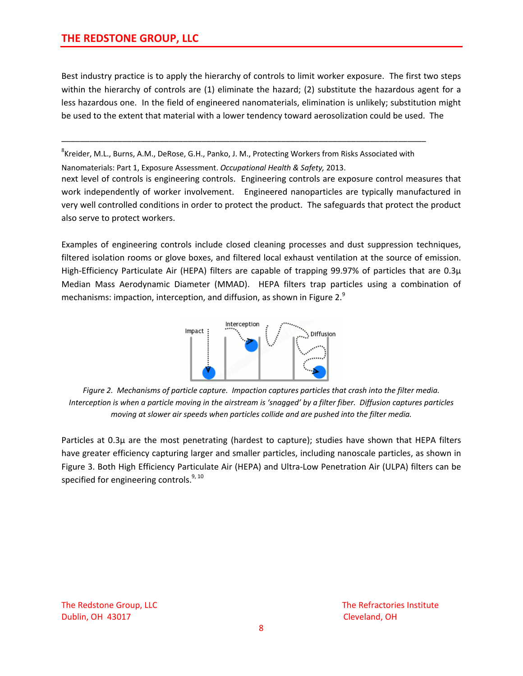Best industry practice is to apply the hierarchy of controls to limit worker exposure. The first two steps within the hierarchy of controls are (1) eliminate the hazard; (2) substitute the hazardous agent for a less hazardous one. In the field of engineered nanomaterials, elimination is unlikely; substitution might be used to the extent that material with a lower tendency toward aerosolization could be used. The

<sup>8</sup>Kreider, M.L., Burns, A.M., DeRose, G.H., Panko, J. M., Protecting Workers from Risks Associated with

\_\_\_\_\_\_\_\_\_\_\_\_\_\_\_\_\_\_\_\_\_\_\_\_\_\_\_\_\_\_\_\_\_\_\_\_\_\_\_\_\_\_\_\_\_\_\_\_\_\_\_\_\_\_\_\_\_\_\_\_\_\_\_\_\_\_\_\_\_\_\_\_\_\_\_\_\_\_

Nanomaterials: Part 1, Exposure Assessment. *Occupational Health & Safety,* 2013. next level of controls is engineering controls. Engineering controls are exposure control measures that work independently of worker involvement. Engineered nanoparticles are typically manufactured in very well controlled conditions in order to protect the product. The safeguards that protect the product also serve to protect workers.

Examples of engineering controls include closed cleaning processes and dust suppression techniques, filtered isolation rooms or glove boxes, and filtered local exhaust ventilation at the source of emission. High-Efficiency Particulate Air (HEPA) filters are capable of trapping 99.97% of particles that are 0.3 $\mu$ Median Mass Aerodynamic Diameter (MMAD). HEPA filters trap particles using a combination of mechanisms: impaction, interception, and diffusion, as shown in Figure 2. $9$ 



Figure 2. Mechanisms of particle capture. Impaction captures particles that crash into the filter media. Interception is when a particle moving in the airstream is 'snagged' by a filter fiber. Diffusion captures particles *moving at slower air speeds when particles collide and are pushed into the filter media.* 

Particles at 0.3µ are the most penetrating (hardest to capture); studies have shown that HEPA filters have greater efficiency capturing larger and smaller particles, including nanoscale particles, as shown in Figure 3. Both High Efficiency Particulate Air (HEPA) and Ultra‐Low Penetration Air (ULPA) filters can be specified for engineering controls. $9,10$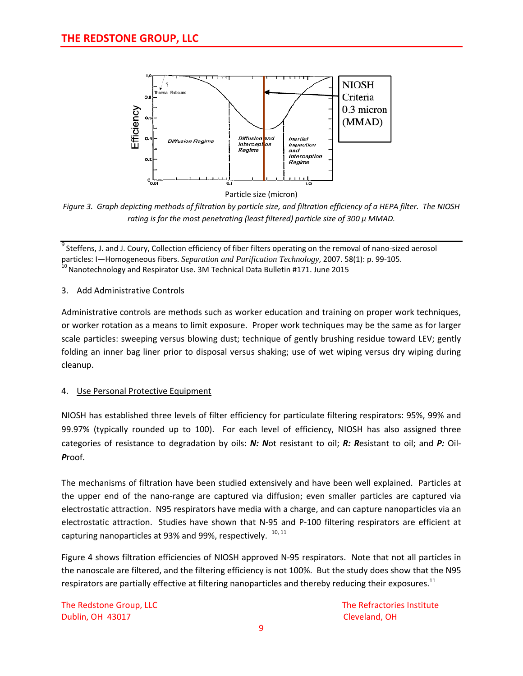

Figure 3. Graph depicting methods of filtration by particle size, and filtration efficiency of a HEPA filter. The NIOSH *rating is for the most penetrating (least filtered) particle size of 300 µ MMAD.*

 $^9$  Steffens, J. and J. Coury, Collection efficiency of fiber filters operating on the removal of nano-sized aerosol particles: I—Homogeneous fibers. *Separation and Purification Technology*, 2007. 58(1): p. 99-105.<br><sup>10</sup> Nanotechnology and Respirator Use. 3M Technical Data Bulletin #171. June 2015

# 3. Add Administrative Controls

Administrative controls are methods such as worker education and training on proper work techniques, or worker rotation as a means to limit exposure. Proper work techniques may be the same as for larger scale particles: sweeping versus blowing dust; technique of gently brushing residue toward LEV; gently folding an inner bag liner prior to disposal versus shaking; use of wet wiping versus dry wiping during cleanup.

# 4. Use Personal Protective Equipment

NIOSH has established three levels of filter efficiency for particulate filtering respirators: 95%, 99% and 99.97% (typically rounded up to 100). For each level of efficiency, NIOSH has also assigned three categories of resistance to degradation by oils: *N: N*ot resistant to oil; *R: R*esistant to oil; and *P:* Oil‐ *P*roof.

The mechanisms of filtration have been studied extensively and have been well explained. Particles at the upper end of the nano‐range are captured via diffusion; even smaller particles are captured via electrostatic attraction. N95 respirators have media with a charge, and can capture nanoparticles via an electrostatic attraction. Studies have shown that N‐95 and P‐100 filtering respirators are efficient at capturing nanoparticles at 93% and 99%, respectively.  $10, 11$ 

Figure 4 shows filtration efficiencies of NIOSH approved N‐95 respirators. Note that not all particles in the nanoscale are filtered, and the filtering efficiency is not 100%. But the study does show that the N95 respirators are partially effective at filtering nanoparticles and thereby reducing their exposures.<sup>11</sup>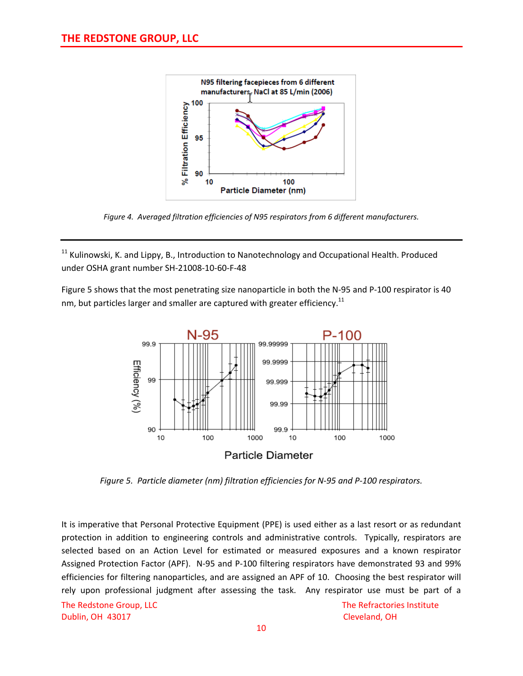

*Figure 4. Averaged filtration efficiencies of N95 respirators from 6 different manufacturers.*

<sup>11</sup> Kulinowski, K. and Lippy, B., Introduction to Nanotechnology and Occupational Health. Produced under OSHA grant number SH‐21008‐10‐60‐F‐48

Figure 5 shows that the most penetrating size nanoparticle in both the N‐95 and P‐100 respirator is 40 nm, but particles larger and smaller are captured with greater efficiency.<sup>11</sup>



*Figure 5. Particle diameter (nm) filtration efficiencies for N‐95 and P‐100 respirators.*

It is imperative that Personal Protective Equipment (PPE) is used either as a last resort or as redundant protection in addition to engineering controls and administrative controls. Typically, respirators are selected based on an Action Level for estimated or measured exposures and a known respirator Assigned Protection Factor (APF). N‐95 and P‐100 filtering respirators have demonstrated 93 and 99% efficiencies for filtering nanoparticles, and are assigned an APF of 10. Choosing the best respirator will rely upon professional judgment after assessing the task. Any respirator use must be part of a

Dublin, OH 43017 **Dublin, OH 43017 Cleveland**, OH

The Redstone Group, LLC **The Refractories Institute**